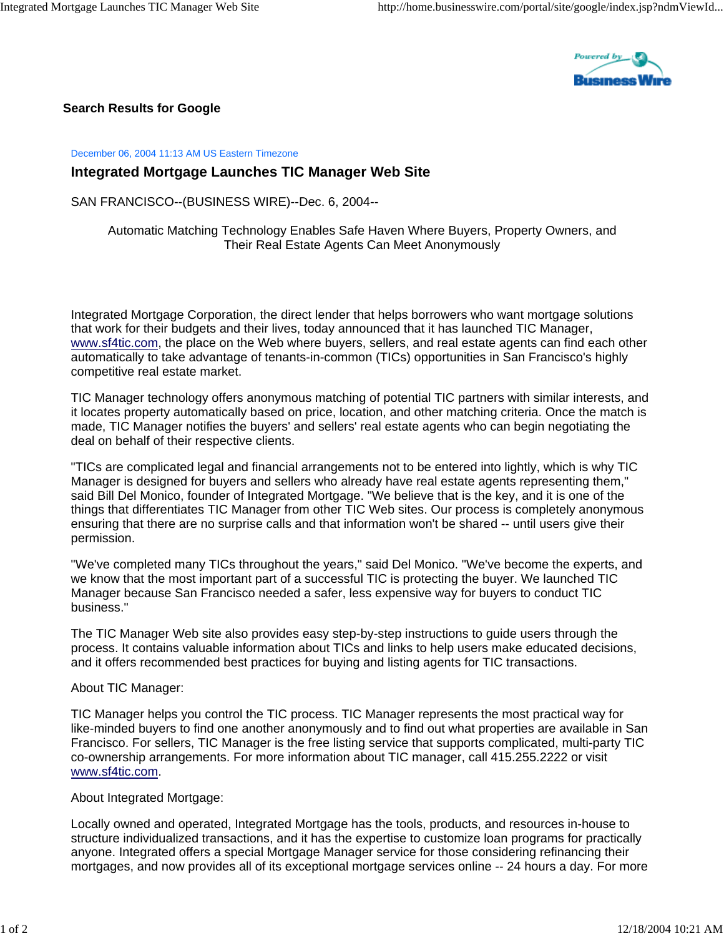

**Search Results for Google**

December 06, 2004 11:13 AM US Eastern Timezone

## **Integrated Mortgage Launches TIC Manager Web Site**

SAN FRANCISCO--(BUSINESS WIRE)--Dec. 6, 2004--

Automatic Matching Technology Enables Safe Haven Where Buyers, Property Owners, and Their Real Estate Agents Can Meet Anonymously

Integrated Mortgage Corporation, the direct lender that helps borrowers who want mortgage solutions that work for their budgets and their lives, today announced that it has launched TIC Manager, www.sf4tic.com, the place on the Web where buyers, sellers, and real estate agents can find each other automatically to take advantage of tenants-in-common (TICs) opportunities in San Francisco's highly competitive real estate market.

TIC Manager technology offers anonymous matching of potential TIC partners with similar interests, and it locates property automatically based on price, location, and other matching criteria. Once the match is made, TIC Manager notifies the buyers' and sellers' real estate agents who can begin negotiating the deal on behalf of their respective clients.

"TICs are complicated legal and financial arrangements not to be entered into lightly, which is why TIC Manager is designed for buyers and sellers who already have real estate agents representing them," said Bill Del Monico, founder of Integrated Mortgage. "We believe that is the key, and it is one of the things that differentiates TIC Manager from other TIC Web sites. Our process is completely anonymous ensuring that there are no surprise calls and that information won't be shared -- until users give their permission.

"We've completed many TICs throughout the years," said Del Monico. "We've become the experts, and we know that the most important part of a successful TIC is protecting the buyer. We launched TIC Manager because San Francisco needed a safer, less expensive way for buyers to conduct TIC business."

The TIC Manager Web site also provides easy step-by-step instructions to guide users through the process. It contains valuable information about TICs and links to help users make educated decisions, and it offers recommended best practices for buying and listing agents for TIC transactions.

About TIC Manager:

TIC Manager helps you control the TIC process. TIC Manager represents the most practical way for like-minded buyers to find one another anonymously and to find out what properties are available in San Francisco. For sellers, TIC Manager is the free listing service that supports complicated, multi-party TIC co-ownership arrangements. For more information about TIC manager, call 415.255.2222 or visit www.sf4tic.com.

About Integrated Mortgage:

Locally owned and operated, Integrated Mortgage has the tools, products, and resources in-house to structure individualized transactions, and it has the expertise to customize loan programs for practically anyone. Integrated offers a special Mortgage Manager service for those considering refinancing their mortgages, and now provides all of its exceptional mortgage services online -- 24 hours a day. For more